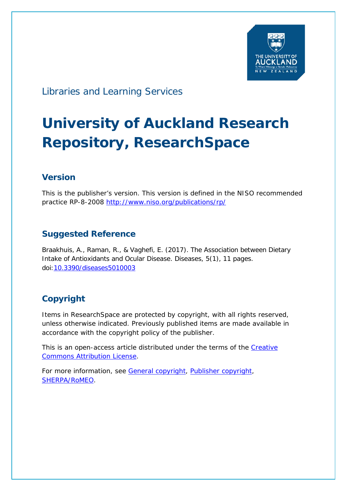

# Libraries and Learning Services

# **University of Auckland Research Repository, ResearchSpace**

## **Version**

This is the publisher's version. This version is defined in the NISO recommended practice RP-8-2008<http://www.niso.org/publications/rp/>

## **Suggested Reference**

Braakhuis, A., Raman, R., & Vaghefi, E. (2017). The Association between Dietary Intake of Antioxidants and Ocular Disease. *Diseases*, *5*(1), 11 pages. doi[:10.3390/diseases5010003](http://dx.doi.org/10.3390/diseases5010003)

# **Copyright**

Items in ResearchSpace are protected by copyright, with all rights reserved, unless otherwise indicated. Previously published items are made available in accordance with the copyright policy of the publisher.

This is an open-access article distributed under the terms of the Creative [Commons Attribution](https://creativecommons.org/licenses/by/4.0/) License.

For more information, see [General copyright,](http://www.library.auckland.ac.nz/services/research-support/depositing-theses/copyright) [Publisher copyright,](http://www.mdpi.com/about/openaccess) [SHERPA/RoMEO.](http://www.sherpa.ac.uk/romeo/issn/2079-9721/)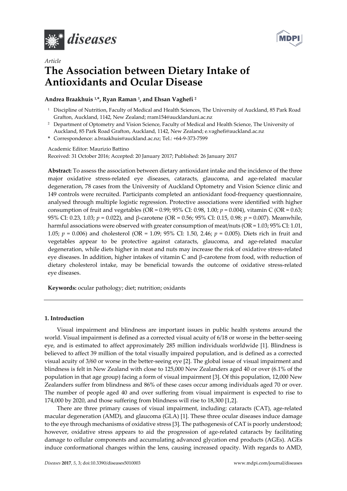



## *Article*  **The Association between Dietary Intake of Antioxidants and Ocular Disease**

#### **Andrea Braakhuis 1,\*, Ryan Raman 1, and Ehsan Vaghefi 2**

- <sup>1</sup> Discipline of Nutrition, Faculty of Medical and Health Sciences, The University of Auckland, 85 Park Road Grafton, Auckland, 1142, New Zealand; rram154@aucklanduni.ac.nz
- <sup>2</sup> Department of Optometry and Vision Science, Faculty of Medical and Health Science, The University of Auckland, 85 Park Road Grafton, Auckland, 1142, New Zealand; e.vaghefi@auckland.ac.nz
- **\*** Correspondence: a.braakhuis@auckland.ac.nz; Tel.: +64-9-373-7599

#### Academic Editor: Maurizio Battino

Received: 31 October 2016; Accepted: 20 January 2017; Published: 26 January 2017

**Abstract:** To assess the association between dietary antioxidant intake and the incidence of the three major oxidative stress-related eye diseases, cataracts, glaucoma, and age-related macular degeneration, 78 cases from the University of Auckland Optometry and Vision Science clinic and 149 controls were recruited. Participants completed an antioxidant food-frequency questionnaire, analysed through multiple logistic regression. Protective associations were identified with higher consumption of fruit and vegetables (OR = 0.99; 95% CI: 0.98, 1.00; *p* = 0.004), vitamin C (OR = 0.63; 95% CI: 0.23, 1.03; *p* = 0.022), and β-carotene (OR = 0.56; 95% CI: 0.15, 0.98; *p* = 0.007). Meanwhile, harmful associations were observed with greater consumption of meat/nuts (OR = 1.03; 95% CI: 1.01, 1.05; *p* = 0.006) and cholesterol (OR = 1.09; 95% CI: 1.50, 2.46; *p* = 0.005). Diets rich in fruit and vegetables appear to be protective against cataracts, glaucoma, and age-related macular degeneration, while diets higher in meat and nuts may increase the risk of oxidative stress-related eye diseases. In addition, higher intakes of vitamin C and β-carotene from food, with reduction of dietary cholesterol intake, may be beneficial towards the outcome of oxidative stress-related eye diseases.

**Keywords:** ocular pathology; diet; nutrition; oxidants

#### **1. Introduction**

Visual impairment and blindness are important issues in public health systems around the world. Visual impairment is defined as a corrected visual acuity of 6/18 or worse in the better-seeing eye, and is estimated to affect approximately 285 million individuals worldwide [1]. Blindness is believed to affect 39 million of the total visually impaired population, and is defined as a corrected visual acuity of 3/60 or worse in the better-seeing eye [2]. The global issue of visual impairment and blindness is felt in New Zealand with close to 125,000 New Zealanders aged 40 or over (6.1% of the population in that age group) facing a form of visual impairment [3]. Of this population, 12,000 New Zealanders suffer from blindness and 86% of these cases occur among individuals aged 70 or over. The number of people aged 40 and over suffering from visual impairment is expected to rise to 174,000 by 2020, and those suffering from blindness will rise to 18,300 [1,2].

There are three primary causes of visual impairment, including: cataracts (CAT), age-related macular degeneration (AMD), and glaucoma (GLA) [1]. These three ocular diseases induce damage to the eye through mechanisms of oxidative stress [3]. The pathogenesis of CAT is poorly understood; however, oxidative stress appears to aid the progression of age-related cataracts by facilitating damage to cellular components and accumulating advanced glycation end products (AGEs). AGEs induce conformational changes within the lens, causing increased opacity. With regards to AMD,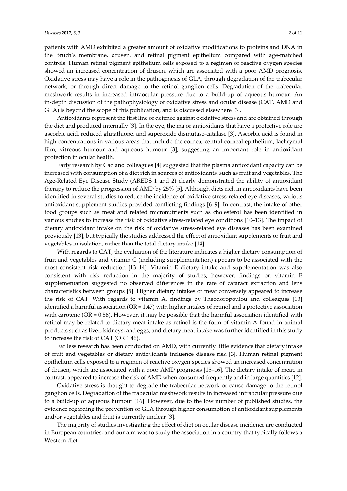GLA) is beyond the scope of this publication, and is discussed elsewhere [3]. Antioxidants represent the first line of defence against oxidative stress and are obtained through the diet and produced internally [3]. In the eye, the major antioxidants that have a protective role are ascorbic acid, reduced glutathione, and superoxide dismutase-catalase [3]. Ascorbic acid is found in high concentrations in various areas that include the cornea, central corneal epithelium, lachrymal film, vitreous humour and aqueous humour [3], suggesting an important role in antioxidant protection in ocular health.

in-depth discussion of the pathophysiology of oxidative stress and ocular disease (CAT, AMD and

Early research by Cao and colleagues [4] suggested that the plasma antioxidant capacity can be increased with consumption of a diet rich in sources of antioxidants, such as fruit and vegetables. The Age-Related Eye Disease Study (AREDS 1 and 2) clearly demonstrated the ability of antioxidant therapy to reduce the progression of AMD by 25% [5]. Although diets rich in antioxidants have been identified in several studies to reduce the incidence of oxidative stress-related eye diseases, various antioxidant supplement studies provided conflicting findings [6–9]. In contrast, the intake of other food groups such as meat and related micronutrients such as cholesterol has been identified in various studies to increase the risk of oxidative stress-related eye conditions [10–13]. The impact of dietary antioxidant intake on the risk of oxidative stress-related eye diseases has been examined previously [13], but typically the studies addressed the effect of antioxidant supplements or fruit and vegetables in isolation, rather than the total dietary intake [14].

With regards to CAT, the evaluation of the literature indicates a higher dietary consumption of fruit and vegetables and vitamin C (including supplementation) appears to be associated with the most consistent risk reduction [13–14]. Vitamin E dietary intake and supplementation was also consistent with risk reduction in the majority of studies; however, findings on vitamin E supplementation suggested no observed differences in the rate of cataract extraction and lens characteristics between groups [5]. Higher dietary intakes of meat conversely appeared to increase the risk of CAT. With regards to vitamin A, findings by Theodoropoulou and colleagues [13] identified a harmful association ( $OR = 1.47$ ) with higher intakes of retinol and a protective association with carotene ( $OR = 0.56$ ). However, it may be possible that the harmful association identified with retinol may be related to dietary meat intake as retinol is the form of vitamin A found in animal products such as liver, kidneys, and eggs, and dietary meat intake was further identified in this study to increase the risk of CAT (OR 1.46).

Far less research has been conducted on AMD, with currently little evidence that dietary intake of fruit and vegetables or dietary antioxidants influence disease risk [3]. Human retinal pigment epithelium cells exposed to a regimen of reactive oxygen species showed an increased concentration of drusen, which are associated with a poor AMD prognosis [15–16]. The dietary intake of meat, in contrast, appeared to increase the risk of AMD when consumed frequently and in large quantities [12].

Oxidative stress is thought to degrade the trabecular network or cause damage to the retinol ganglion cells. Degradation of the trabecular meshwork results in increased intraocular pressure due to a build-up of aqueous humour [16]. However, due to the low number of published studies, the evidence regarding the prevention of GLA through higher consumption of antioxidant supplements and/or vegetables and fruit is currently unclear [3].

The majority of studies investigating the effect of diet on ocular disease incidence are conducted in European countries, and our aim was to study the association in a country that typically follows a Western diet.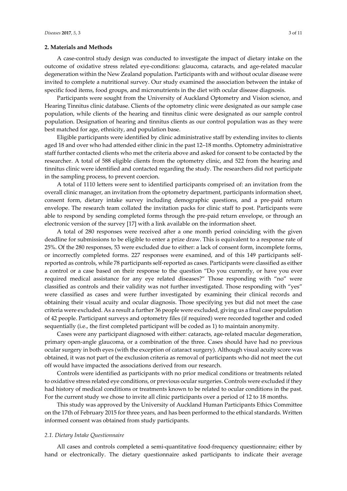#### **2. Materials and Methods**

A case-control study design was conducted to investigate the impact of dietary intake on the outcome of oxidative stress related eye-conditions: glaucoma, cataracts, and age-related macular degeneration within the New Zealand population. Participants with and without ocular disease were invited to complete a nutritional survey. Our study examined the association between the intake of specific food items, food groups, and micronutrients in the diet with ocular disease diagnosis.

Participants were sought from the University of Auckland Optometry and Vision science, and Hearing Tinnitus clinic database. Clients of the optometry clinic were designated as our sample case population, while clients of the hearing and tinnitus clinic were designated as our sample control population. Designation of hearing and tinnitus clients as our control population was as they were best matched for age, ethnicity, and population base.

Eligible participants were identified by clinic administrative staff by extending invites to clients aged 18 and over who had attended either clinic in the past 12–18 months. Optometry administrative staff further contacted clients who met the criteria above and asked for consent to be contacted by the researcher. A total of 588 eligible clients from the optometry clinic, and 522 from the hearing and tinnitus clinic were identified and contacted regarding the study. The researchers did not participate in the sampling process, to prevent coercion.

A total of 1110 letters were sent to identified participants comprised of: an invitation from the overall clinic manager, an invitation from the optometry department, participants information sheet, consent form, dietary intake survey including demographic questions, and a pre-paid return envelope. The research team collated the invitation packs for clinic staff to post. Participants were able to respond by sending completed forms through the pre-paid return envelope, or through an electronic version of the survey [17] with a link available on the information sheet.

A total of 280 responses were received after a one month period coinciding with the given deadline for submissions to be eligible to enter a prize draw. This is equivalent to a response rate of 25%. Of the 280 responses, 53 were excluded due to either: a lack of consent form, incomplete forms, or incorrectly completed forms. 227 responses were examined, and of this 149 participants selfreported as controls, while 78 participants self-reported as cases. Participants were classified as either a control or a case based on their response to the question "Do you currently, or have you ever required medical assistance for any eye related diseases?" Those responding with "no" were classified as controls and their validity was not further investigated. Those responding with "yes" were classified as cases and were further investigated by examining their clinical records and obtaining their visual acuity and ocular diagnosis. Those specifying yes but did not meet the case criteria were excluded. As a result a further 36 people were excluded, giving us a final case population of 42 people. Participant surveys and optometry files (if required) were recorded together and coded sequentially (i.e., the first completed participant will be coded as 1) to maintain anonymity.

Cases were any participant diagnosed with either: cataracts, age-related macular degeneration, primary open-angle glaucoma, or a combination of the three. Cases should have had no previous ocular surgery in both eyes (with the exception of cataract surgery). Although visual acuity score was obtained, it was not part of the exclusion criteria as removal of participants who did not meet the cut off would have impacted the associations derived from our research.

Controls were identified as participants with no prior medical conditions or treatments related to oxidative stress related eye conditions, or previous ocular surgeries. Controls were excluded if they had history of medical conditions or treatments known to be related to ocular conditions in the past. For the current study we chose to invite all clinic participants over a period of 12 to 18 months.

This study was approved by the University of Auckland Human Participants Ethics Committee on the 17th of February 2015 for three years, and has been performed to the ethical standards. Written informed consent was obtained from study participants.

#### *2.1. Dietary Intake Questionnaire*

All cases and controls completed a semi-quantitative food-frequency questionnaire; either by hand or electronically. The dietary questionnaire asked participants to indicate their average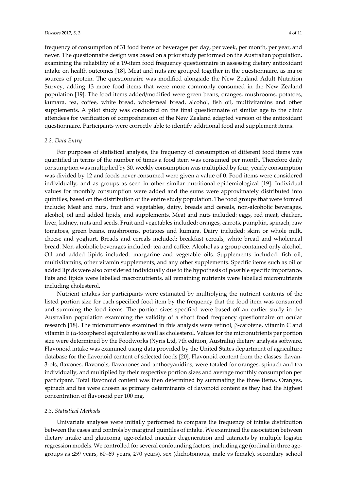frequency of consumption of 31 food items or beverages per day, per week, per month, per year, and never. The questionnaire design was based on a prior study performed on the Australian population, examining the reliability of a 19-item food frequency questionnaire in assessing dietary antioxidant intake on health outcomes [18]. Meat and nuts are grouped together in the questionnaire, as major sources of protein. The questionnaire was modified alongside the New Zealand Adult Nutrition Survey, adding 13 more food items that were more commonly consumed in the New Zealand population [19]. The food items added/modified were green beans, oranges, mushrooms, potatoes, kumara, tea, coffee, white bread, wholemeal bread, alcohol, fish oil, multivitamins and other supplements. A pilot study was conducted on the final questionnaire of similar age to the clinic attendees for verification of comprehension of the New Zealand adapted version of the antioxidant questionnaire. Participants were correctly able to identify additional food and supplement items.

#### *2.2. Data Entry*

For purposes of statistical analysis, the frequency of consumption of different food items was quantified in terms of the number of times a food item was consumed per month. Therefore daily consumption was multiplied by 30, weekly consumption was multiplied by four, yearly consumption was divided by 12 and foods never consumed were given a value of 0. Food items were considered individually, and as groups as seen in other similar nutritional epidemiological [19]. Individual values for monthly consumption were added and the sums were approximately distributed into quintiles, based on the distribution of the entire study population. The food groups that were formed include; Meat and nuts, fruit and vegetables, dairy, breads and cereals, non-alcoholic beverages, alcohol, oil and added lipids, and supplements. Meat and nuts included: eggs, red meat, chicken, liver, kidney, nuts and seeds. Fruit and vegetables included: oranges, carrots, pumpkin, spinach, raw tomatoes, green beans, mushrooms, potatoes and kumara. Dairy included: skim or whole milk, cheese and yoghurt. Breads and cereals included: breakfast cereals, white bread and wholemeal bread. Non-alcoholic beverages included: tea and coffee. Alcohol as a group contained only alcohol. Oil and added lipids included: margarine and vegetable oils. Supplements included: fish oil, multivitamins, other vitamin supplements, and any other supplements. Specific items such as oil or added lipids were also considered individually due to the hypothesis of possible specific importance. Fats and lipids were labelled macronutrients, all remaining nutrients were labelled micronutrients including cholesterol.

Nutrient intakes for participants were estimated by multiplying the nutrient contents of the listed portion size for each specified food item by the frequency that the food item was consumed and summing the food items. The portion sizes specified were based off an earlier study in the Australian population examining the validity of a short food frequency questionnaire on ocular research [18]. The micronutrients examined in this analysis were retinol, β-carotene, vitamin C and vitamin E (α-tocopherol equivalents) as well as cholesterol. Values for the micronutrients per portion size were determined by the Foodworks (Xyris Ltd, 7th edition, Australia) dietary analysis software. Flavonoid intake was examined using data provided by the United States department of agriculture database for the flavonoid content of selected foods [20]. Flavonoid content from the classes: flavan-3-ols, flavones, flavonols, flavanones and anthocyanidins, were totaled for oranges, spinach and tea individually, and multiplied by their respective portion sizes and average monthly consumption per participant. Total flavonoid content was then determined by summating the three items. Oranges, spinach and tea were chosen as primary determinants of flavonoid content as they had the highest concentration of flavonoid per 100 mg.

#### *2.3. Statistical Methods*

Univariate analyses were initially performed to compare the frequency of intake distribution between the cases and controls by marginal quintiles of intake. We examined the association between dietary intake and glaucoma, age-related macular degeneration and cataracts by multiple logistic regression models. We controlled for several confounding factors, including age (ordinal in three agegroups as ≤59 years, 60–69 years, ≥70 years), sex (dichotomous, male vs female), secondary school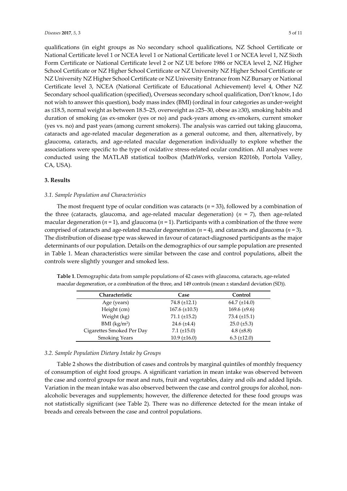qualifications (in eight groups as No secondary school qualifications, NZ School Certificate or National Certificate level 1 or NCEA level 1 or National Certificate level 1 or NCEA level 1, NZ Sixth Form Certificate or National Certificate level 2 or NZ UE before 1986 or NCEA level 2, NZ Higher School Certificate or NZ Higher School Certificate or NZ University NZ Higher School Certificate or NZ University NZ Higher School Certificate or NZ University Entrance from NZ Bursary or National Certificate level 3, NCEA (National Certificate of Educational Achievement) level 4, Other NZ Secondary school qualification (specified), Overseas secondary school qualification, Don't know, I do not wish to answer this question), body mass index (BMI) (ordinal in four categories as under-weight as ≤18.5, normal weight as between 18.5–25, overweight as ≥25–30, obese as ≥30), smoking habits and duration of smoking (as ex-smoker (yes or no) and pack-years among ex-smokers, current smoker (yes vs. no) and past years (among current smokers). The analysis was carried out taking glaucoma, cataracts and age-related macular degeneration as a general outcome, and then, alternatively, by glaucoma, cataracts, and age-related macular degeneration individually to explore whether the associations were specific to the type of oxidative stress-related ocular condition. All analyses were conducted using the MATLAB statistical toolbox (MathWorks, version R2016b, Portola Valley, CA, USA).

#### **3. Results**

#### *3.1. Sample Population and Characteristics*

The most frequent type of ocular condition was cataracts  $(n = 33)$ , followed by a combination of the three (cataracts, glaucoma, and age-related macular degeneration) (*n* = 7), then age-related macular degeneration  $(n = 1)$ , and glaucoma  $(n = 1)$ . Participants with a combination of the three were comprised of cataracts and age-related macular degeneration  $(n = 4)$ , and cataracts and glaucoma  $(n = 3)$ . The distribution of disease type was skewed in favour of cataract-diagnosed participants as the major determinants of our population. Details on the demographics of our sample population are presented in Table 1. Mean characteristics were similar between the case and control populations, albeit the controls were slightly younger and smoked less.

| Characteristic            | Case                 | Control            |  |
|---------------------------|----------------------|--------------------|--|
| Age (years)               | 74.8 $(\pm 12.1)$    | $64.7 (\pm 14.0)$  |  |
| Height (cm)               | $167.6 \ (\pm 10.5)$ | 169.6 $(\pm 9.6)$  |  |
| Weight (kg)               | $71.1 (\pm 15.2)$    | 73.4 $(\pm 15.1)$  |  |
| BMI (kg/m <sup>2</sup> )  | 24.6 $(\pm 4.4)$     | $25.0 \ (\pm 5.3)$ |  |
| Cigarettes Smoked Per Day | $7.1 (\pm 15.0)$     | 4.8 $(\pm 8.8)$    |  |
| <b>Smoking Years</b>      | $10.9 \ (\pm 16.0)$  | $6.3 \ (\pm 12.0)$ |  |

**Table 1**. Demographic data from sample populations of 42 cases with glaucoma, cataracts, age-related macular degeneration, or a combination of the three, and 149 controls (mean ± standard deviation (SD)).

#### *3.2. Sample Population Dietary Intake by Groups*

Table 2 shows the distribution of cases and controls by marginal quintiles of monthly frequency of consumption of eight food groups. A significant variation in mean intake was observed between the case and control groups for meat and nuts, fruit and vegetables, dairy and oils and added lipids. Variation in the mean intake was also observed between the case and control groups for alcohol, nonalcoholic beverages and supplements; however, the difference detected for these food groups was not statistically significant (see Table 2). There was no difference detected for the mean intake of breads and cereals between the case and control populations.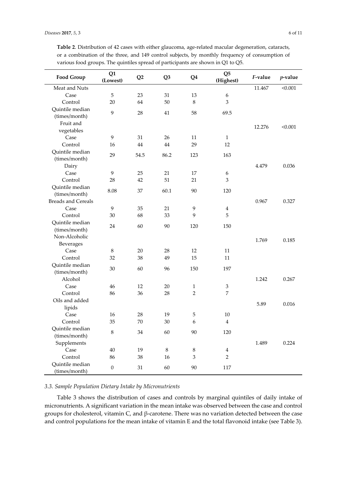| Food Group                 | Q1<br>(Lowest)   | Q <sub>2</sub> | Q <sub>3</sub> | Q <sub>4</sub>            | Q <sub>5</sub><br>(Highest) | F-value | <i>p</i> -value |
|----------------------------|------------------|----------------|----------------|---------------------------|-----------------------------|---------|-----------------|
| Meat and Nuts              |                  |                |                |                           |                             | 11.467  | < 0.001         |
| Case                       | 5                | 23             | 31             | 13                        | 6                           |         |                 |
| Control                    | 20               | 64             | 50             | 8                         | 3                           |         |                 |
| Quintile median            | 9                | 28             | 41             | 58                        | 69.5                        |         |                 |
| (times/month)<br>Fruit and |                  |                |                |                           |                             |         |                 |
| vegetables                 |                  |                |                |                           |                             | 12.276  | < 0.001         |
| Case                       | 9                | 31             | 26             | 11                        | $\mathbf{1}$                |         |                 |
| Control                    | 16               | 44             | 44             | 29                        | 12                          |         |                 |
| Quintile median            |                  |                |                |                           |                             |         |                 |
|                            | 29               | 54.5           | 86.2           | 123                       | 163                         |         |                 |
| (times/month)<br>Dairy     |                  |                |                |                           |                             | 4.479   | 0.036           |
| Case                       | 9                | 25             | 21             | 17                        | 6                           |         |                 |
| Control                    | 28               | 42             | 51             | 21                        | 3                           |         |                 |
| Quintile median            |                  |                |                |                           |                             |         |                 |
| (times/month)              | 8.08             | 37             | 60.1           | 90                        | 120                         |         |                 |
| <b>Breads and Cereals</b>  |                  |                |                |                           |                             | 0.967   | 0.327           |
| Case                       | 9                | 35             | 21             | 9                         | $\overline{4}$              |         |                 |
| Control                    | 30               | 68             | 33             | 9                         | 5                           |         |                 |
| Quintile median            |                  |                |                |                           |                             |         |                 |
| (times/month)              | 24               | 60             | 90             | 120                       | 150                         |         |                 |
| Non-Alcoholic              |                  |                |                |                           |                             |         |                 |
| Beverages                  |                  |                |                |                           |                             | 1.769   | 0.185           |
| Case                       | 8                | 20             | 28             | 12                        | 11                          |         |                 |
| Control                    | 32               | 38             | 49             | 15                        | 11                          |         |                 |
| Quintile median            |                  |                |                |                           |                             |         |                 |
| (times/month)              | 30               | 60             | 96             | 150                       | 197                         |         |                 |
| Alcohol                    |                  |                |                |                           |                             | 1.242   | 0.267           |
| Case                       | 46               | 12             | 20             | $\mathbf{1}$              | 3                           |         |                 |
| Control                    | 86               | 36             | 28             | $\overline{2}$            | 7                           |         |                 |
| Oils and added             |                  |                |                |                           |                             |         |                 |
| lipids                     |                  |                |                |                           |                             | 5.89    | 0.016           |
| Case                       | 16               | 28             | 19             | 5                         | 10                          |         |                 |
| Control                    | 35               | 70             | 30             | 6                         | $\overline{4}$              |         |                 |
| Quintile median            |                  |                |                |                           |                             |         |                 |
| (times/month)              | 8                | 34             | 60             | 90                        | 120                         |         |                 |
| Supplements                |                  |                |                |                           |                             | 1.489   | 0.224           |
| Case                       | $40\,$           | 19             | $\,8\,$        | $\,8\,$                   | $\overline{4}$              |         |                 |
| Control                    | 86               | 38             | 16             | $\ensuremath{\mathsf{3}}$ | $\overline{2}$              |         |                 |
| Quintile median            |                  |                |                |                           |                             |         |                 |
| (times/month)              | $\boldsymbol{0}$ | 31             | $60\,$         | $90\,$                    | 117                         |         |                 |

**Table 2**. Distribution of 42 cases with either glaucoma, age-related macular degeneration, cataracts, or a combination of the three, and 149 control subjects, by monthly frequency of consumption of various food groups. The quintiles spread of participants are shown in Q1 to Q5.

#### *3.3. Sample Population Dietary Intake by Micronutrients*

Table 3 shows the distribution of cases and controls by marginal quintiles of daily intake of micronutrients. A significant variation in the mean intake was observed between the case and control groups for cholesterol, vitamin C, and β-carotene. There was no variation detected between the case and control populations for the mean intake of vitamin E and the total flavonoid intake (see Table 3).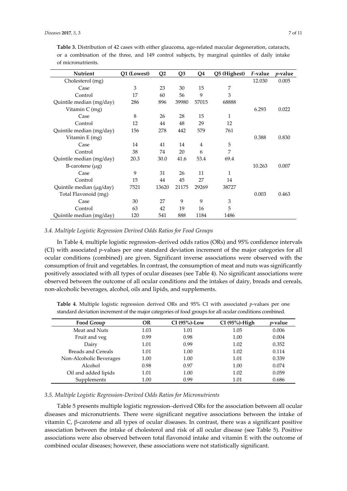| Nutrient                 | Q1 (Lowest) | Q <sub>2</sub> | Q <sub>3</sub> | Q <sub>4</sub> | Q5 (Highest) | <i>F</i> -value | <i>p</i> -value |
|--------------------------|-------------|----------------|----------------|----------------|--------------|-----------------|-----------------|
| Cholesterol (mg)         |             |                |                |                |              | 12.030          | 0.005           |
| Case                     | 3           | 23             | 30             | 15             | 7            |                 |                 |
| Control                  | 17          | 60             | 56             | 9              | 3            |                 |                 |
| Quintile median (mg/day) | 286         | 896            | 39980          | 57015          | 68888        |                 |                 |
| Vitamin C (mg)           |             |                |                |                |              | 6.293           | 0.022           |
| Case                     | 8           | 26             | 28             | 15             | 1            |                 |                 |
| Control                  | 12          | 44             | 48             | 29             | 12           |                 |                 |
| Quintile median (mg/day) | 156         | 278            | 442            | 579            | 761          |                 |                 |
| Vitamin E (mg)           |             |                |                |                |              | 0.388           | 0.830           |
| Case                     | 14          | 41             | 14             | 4              | 5            |                 |                 |
| Control                  | 38          | 74             | 20             | 6              | 7            |                 |                 |
| Quintile median (mg/day) | 20.3        | 30.0           | 41.6           | 53.4           | 69.4         |                 |                 |
| B-carotene $(\mu g)$     |             |                |                |                |              | 10.263          | 0.007           |
| Case                     | 9           | 31             | 26             | 11             | 1            |                 |                 |
| Control                  | 15          | 44             | 45             | 27             | 14           |                 |                 |
| Quintile median (µg/day) | 7521        | 13620          | 21175          | 29269          | 38727        |                 |                 |
| Total Flavonoid (mg)     |             |                |                |                |              | 0.003           | 0.463           |
| Case                     | 30          | 27             | 9              | 9              | 3            |                 |                 |
| Control                  | 63          | 42             | 19             | 16             | 5            |                 |                 |
| Quintile median (mg/day) | 120         | 541            | 888            | 1184           | 1486         |                 |                 |

**Table 3.** Distribution of 42 cases with either glaucoma, age-related macular degeneration, cataracts, or a combination of the three, and 149 control subjects, by marginal quintiles of daily intake of micronutrients.

#### *3.4. Multiple Logistic Regression Derived Odds Ratios for Food Groups*

In Table 4, multiple logistic regression–derived odds ratios (ORs) and 95% confidence intervals (CI) with associated *p*-values per one standard deviation increment of the major categories for all ocular conditions (combined) are given. Significant inverse associations were observed with the consumption of fruit and vegetables. In contrast, the consumption of meat and nuts was significantly positively associated with all types of ocular diseases (see Table 4). No significant associations were observed between the outcome of all ocular conditions and the intakes of dairy, breads and cereals, non-alcoholic beverages, alcohol, oils and lipids, and supplements.

| standard deviation increment of the major categories of food groups for all ocular conditions combined. |           |                  |                  |                 |  |  |
|---------------------------------------------------------------------------------------------------------|-----------|------------------|------------------|-----------------|--|--|
| <b>Food Group</b>                                                                                       | <b>OR</b> | CI $(95\%)$ -Low | $CI(95\%)$ -High | <i>p</i> -value |  |  |
| Meat and Nuts                                                                                           | 1.03      | 1.01             | 1.05             | 0.006           |  |  |
| Fruit and yeg                                                                                           | 0.99      | 0.98             | 1.00             | 0.004           |  |  |
| Dairy                                                                                                   | 1.01      | 0.99             | 1.02             | 0.352           |  |  |
| Breads and Cereals                                                                                      | 1.01      | 1.00             | 1.02             | 0.114           |  |  |
| Non-Alcoholic Beverages                                                                                 | 1.00      | 1.00             | 1.01             | 0.339           |  |  |
| Alcohol                                                                                                 | 0.98      | 0.97             | 1.00             | 0.074           |  |  |
| Oil and added lipids                                                                                    | 1.01      | 1.00             | 1.02             | 0.059           |  |  |

Supplements 1.00 0.99 1.01 0.686

**Table 4**. Multiple logistic regression derived ORs and 95% CI with associated *p*-values per one standard deviation increment of the major categories of food groups for all ocular conditions combined.

#### *3.5. Multiple Logistic Regression-Derived Odds Ratios for Micronutrients*

Table 5 presents multiple logistic regression–derived ORs for the association between all ocular diseases and micronutrients. There were significant negative associations between the intake of vitamin C, β-carotene and all types of ocular diseases. In contrast, there was a significant positive association between the intake of cholesterol and risk of all ocular disease (see Table 5). Positive associations were also observed between total flavonoid intake and vitamin E with the outcome of combined ocular diseases; however, these associations were not statistically significant.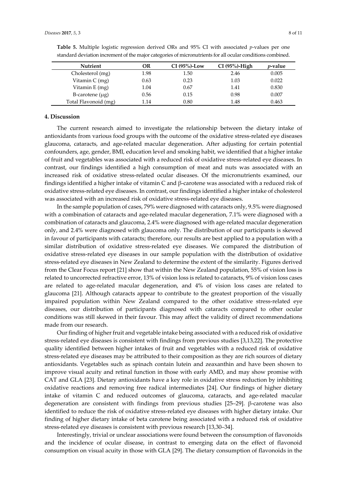| <b>Nutrient</b>      | OR   | $CI(95%)$ -Low | $CI(95\%)$ -High | <i>v</i> -value |
|----------------------|------|----------------|------------------|-----------------|
| Cholesterol (mg)     | 1.98 | 1.50           | 2.46             | 0.005           |
| Vitamin C (mg)       | 0.63 | 0.23           | 1.03             | 0.022           |
| Vitamin E (mg)       | 1.04 | 0.67           | 1.41             | 0.830           |
| B-carotene $(\mu g)$ | 0.56 | 0.15           | 0.98             | 0.007           |
| Total Flavonoid (mg) | 1.14 | 0.80           | 1.48             | 0.463           |

**Table 5.** Multiple logistic regression derived ORs and 95% CI with associated *p*-values per one standard deviation increment of the major categories of micronutrients for all ocular conditions combined.

#### **4. Discussion**

The current research aimed to investigate the relationship between the dietary intake of antioxidants from various food groups with the outcome of the oxidative stress-related eye diseases glaucoma, cataracts, and age-related macular degeneration. After adjusting for certain potential confounders, age, gender, BMI, education level and smoking habit, we identified that a higher intake of fruit and vegetables was associated with a reduced risk of oxidative stress-related eye diseases. In contrast, our findings identified a high consumption of meat and nuts was associated with an increased risk of oxidative stress-related ocular diseases. Of the micronutrients examined, our findings identified a higher intake of vitamin C and β-carotene was associated with a reduced risk of oxidative stress-related eye diseases. In contrast, our findings identified a higher intake of cholesterol was associated with an increased risk of oxidative stress-related eye diseases.

In the sample population of cases, 79% were diagnosed with cataracts only, 9.5% were diagnosed with a combination of cataracts and age-related macular degeneration, 7.1% were diagnosed with a combination of cataracts and glaucoma, 2.4% were diagnosed with age-related macular degeneration only, and 2.4% were diagnosed with glaucoma only. The distribution of our participants is skewed in favour of participants with cataracts; therefore, our results are best applied to a population with a similar distribution of oxidative stress-related eye diseases. We compared the distribution of oxidative stress-related eye diseases in our sample population with the distribution of oxidative stress-related eye diseases in New Zealand to determine the extent of the similarity. Figures derived from the Clear Focus report [21] show that within the New Zealand population, 55% of vision loss is related to uncorrected refractive error, 13% of vision loss is related to cataracts, 9% of vision loss cases are related to age-related macular degeneration, and 4% of vision loss cases are related to glaucoma [21]. Although cataracts appear to contribute to the greatest proportion of the visually impaired population within New Zealand compared to the other oxidative stress-related eye diseases, our distribution of participants diagnosed with cataracts compared to other ocular conditions was still skewed in their favour. This may affect the validity of direct recommendations made from our research.

Our finding of higher fruit and vegetable intake being associated with a reduced risk of oxidative stress-related eye diseases is consistent with findings from previous studies [3,13,22]. The protective quality identified between higher intakes of fruit and vegetables with a reduced risk of oxidative stress-related eye diseases may be attributed to their composition as they are rich sources of dietary antioxidants. Vegetables such as spinach contain lutein and zeaxanthin and have been shown to improve visual acuity and retinal function in those with early AMD, and may show promise with CAT and GLA [23]. Dietary antioxidants have a key role in oxidative stress reduction by inhibiting oxidative reactions and removing free radical intermediates [24]. Our findings of higher dietary intake of vitamin C and reduced outcomes of glaucoma, cataracts, and age-related macular degeneration are consistent with findings from previous studies [25–29]. β-carotene was also identified to reduce the risk of oxidative stress-related eye diseases with higher dietary intake. Our finding of higher dietary intake of beta carotene being associated with a reduced risk of oxidative stress-related eye diseases is consistent with previous research [13,30–34].

Interestingly, trivial or unclear associations were found between the consumption of flavonoids and the incidence of ocular disease, in contrast to emerging data on the effect of flavonoid consumption on visual acuity in those with GLA [29]. The dietary consumption of flavonoids in the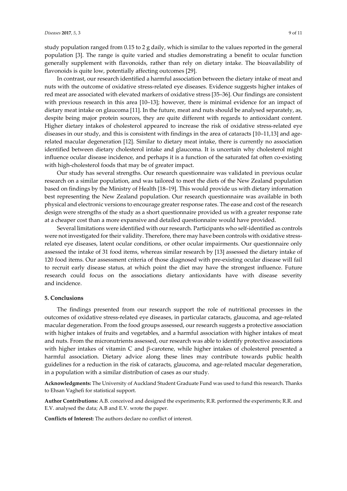study population ranged from 0.15 to 2 g daily, which is similar to the values reported in the general population [3]. The range is quite varied and studies demonstrating a benefit to ocular function generally supplement with flavonoids, rather than rely on dietary intake. The bioavailability of flavonoids is quite low, potentially affecting outcomes [29].

In contrast, our research identified a harmful association between the dietary intake of meat and nuts with the outcome of oxidative stress-related eye diseases. Evidence suggests higher intakes of red meat are associated with elevated markers of oxidative stress [35–36]. Our findings are consistent with previous research in this area [10–13]; however, there is minimal evidence for an impact of dietary meat intake on glaucoma [11]. In the future, meat and nuts should be analysed separately, as, despite being major protein sources, they are quite different with regards to antioxidant content. Higher dietary intakes of cholesterol appeared to increase the risk of oxidative stress-related eye diseases in our study, and this is consistent with findings in the area of cataracts [10–11,13] and agerelated macular degeneration [12]. Similar to dietary meat intake, there is currently no association identified between dietary cholesterol intake and glaucoma. It is uncertain why cholesterol might influence ocular disease incidence, and perhaps it is a function of the saturated fat often co-existing with high-cholesterol foods that may be of greater impact.

Our study has several strengths. Our research questionnaire was validated in previous ocular research on a similar population, and was tailored to meet the diets of the New Zealand population based on findings by the Ministry of Health [18–19]. This would provide us with dietary information best representing the New Zealand population. Our research questionnaire was available in both physical and electronic versions to encourage greater response rates. The ease and cost of the research design were strengths of the study as a short questionnaire provided us with a greater response rate at a cheaper cost than a more expansive and detailed questionnaire would have provided.

Several limitations were identified with our research. Participants who self-identified as controls were not investigated for their validity. Therefore, there may have been controls with oxidative stressrelated eye diseases, latent ocular conditions, or other ocular impairments. Our questionnaire only assessed the intake of 31 food items, whereas similar research by [13] assessed the dietary intake of 120 food items. Our assessment criteria of those diagnosed with pre-existing ocular disease will fail to recruit early disease status, at which point the diet may have the strongest influence. Future research could focus on the associations dietary antioxidants have with disease severity and incidence.

#### **5. Conclusions**

The findings presented from our research support the role of nutritional processes in the outcomes of oxidative stress-related eye diseases, in particular cataracts, glaucoma, and age-related macular degeneration. From the food groups assessed, our research suggests a protective association with higher intakes of fruits and vegetables, and a harmful association with higher intakes of meat and nuts. From the micronutrients assessed, our research was able to identify protective associations with higher intakes of vitamin C and β-carotene, while higher intakes of cholesterol presented a harmful association. Dietary advice along these lines may contribute towards public health guidelines for a reduction in the risk of cataracts, glaucoma, and age-related macular degeneration, in a population with a similar distribution of cases as our study.

**Acknowledgments:** The University of Auckland Student Graduate Fund was used to fund this research. Thanks to Ehsan Vaghefi for statistical support.

**Author Contributions:** A.B. conceived and designed the experiments; R.R. performed the experiments; R.R. and E.V. analysed the data; A.B and E.V. wrote the paper.

**Conflicts of Interest:** The authors declare no conflict of interest.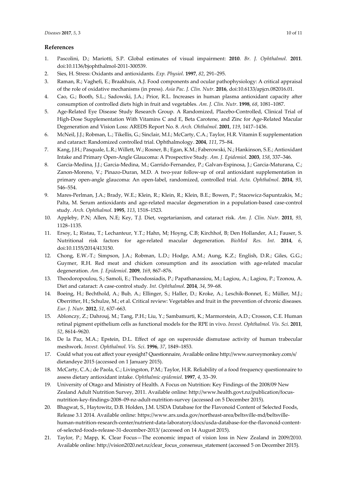#### **References**

- 1. Pascolini, D.; Mariotti, S.P. Global estimates of visual impairment: **2010**. *Br. J. Ophthalmol*. **2011**. doi:10.1136/bjophthalmol-2011-300539.
- 2. Sies, H. Stress: Oxidants and antioxidants. *Exp. Physiol*. **1997**, *82*, 291–295.
- 3. Raman, R.; Vaghefi, E.; Braakhuis, A.J. Food components and ocular pathophysiology: A critical appraisal of the role of oxidative mechanisms (in press). *Asia Pac. J. Clin. Nutr.* **2016**, doi:10.6133/apjcn.082016.01.
- 4. Cao, G.; Booth, S.L.; Sadowski, J.A.; Prior, R.L. Increases in human plasma antioxidant capacity after consumption of controlled diets high in fruit and vegetables*. Am. J. Clin. Nutr*. **1998**, *68*, 1081–1087.
- 5. Age-Related Eye Disease Study Research Group. A Randomized, Placebo-Controlled, Clinical Trial of High-Dose Supplementation With Vitamins C and E, Beta Carotene, and Zinc for Age-Related Macular Degeneration and Vision Loss: AREDS Report No. 8. *Arch. Ohthalmol*. **2001**, *119*, 1417–1436.
- 6. McNeil, J.J.; Robman, L.; Tikellis, G.; Sinclair, M.I.; McCarty, C.A.; Taylor, H.R. Vitamin E supplementation and cataract: Randomized controlled trial. Ophthalmology. **2004**, *111*, 75–84.
- 7. Kang, J.H.; Pasquale, L.R.; Willett, W.; Rosner, B.; Egan, K.M.; Faberowski, N.; Hankinson, S.E.; Antioxidant Intake and Primary Open-Angle Glaucoma: A Prospective Study*. Am. J. Epidemiol*. **2003**, *158*, 337–346.
- 8. Garcia-Medina, J.J.; Garcia-Medina, M.; Garrido-Fernandez, P.; Galvan-Espinosa, J.; Garcia-Maturana, C.; Zanon-Moreno, V.; Pinazo-Duran, M.D. A two-year follow-up of oral antioxidant supplementation in primary open-angle glaucoma: An open-label, randomized, controlled trial. *Acta. Ophthalmol*. **2014**, *93*, 546–554.
- 9. Mares-Perlman, J.A.; Brady, W.E.; Klein, R.; Klein, R.; Klein, B.E.; Bowen, P.; Stacewicz-Sapuntzakis, M.; Palta, M. Serum antioxidants and age-related macular degeneration in a population-based case-control study. *Arch. Ophthalmol*. **1995**, *113*, 1518–1523.
- 10. Appleby, P.N; Allen, N.E; Key, T.J. Diet, vegetarianism, and cataract risk. *Am. J. Clin. Nutr*. **2011**, *93*, 1128–1135.
- 11. Ersoy, L; Ristau, T.; Lechanteur, Y.T.; Hahn, M; Hoyng, C.B; Kirchhof, B; Den Hollander, A.I.; Fauser, S. Nutritional risk factors for age-related macular degeneration. *BioMed Res. Int*. **2014**, *6*, doi:10.1155/2014/413150.
- 12. Chong, E.W.-T.; Simpson, J.A.; Robman, L.D.; Hodge, A.M.; Aung, K.Z.; English, D.R.; Giles, G.G.; Guymer, R.H. Red meat and chicken consumption and its association with age-related macular degeneration. *Am. J. Epidemiol*. **2009**, *169*, 867–876.
- 13. Theodoropoulou, S.; Samoli, E.; Theodossiadis, P.; Papathanassiou, M.; Lagiou, A.; Lagiou, P.; Tzonou, A. Diet and cataract: A case-control study*. Int. Ophthalmol*. **2014**, *34*, 59–68.
- 14. Boeing, H.; Bechthold, A.; Bub, A.; Ellinger, S.; Haller, D.; Kroke, A.; Leschik-Bonnet, E.; Müller, M.J.; Oberritter, H.; Schulze, M.; et al. Critical review: Vegetables and fruit in the prevention of chronic diseases*. Eur. J. Nutr*. **2012**, *51*, 637–663.
- 15. Ablonczy, Z.; Dahrouj, M.; Tang, P.H.; Liu, Y.; Sambamurti, K.; Marmorstein, A.D.; Crosson, C.E. Human retinal pigment epithelium cells as functional models for the RPE in vivo. *Invest. Ophthalmol. Vis. Sci*. **2011**, *52*, 8614–9620.
- 16. De la Paz, M.A.; Epstein, D.L. Effect of age on superoxide dismutase activity of human trabecular meshwork. *Invest. Ophthalmol. Vis. Sci*. **1996**, *37*, 1849–1853.
- 17. Could what you eat affect your eyesight? Questionnaire, Available online http://www.surveymonkey.com/s/ dietandeye 2015 (accessed on 1 January 2015).
- 18. McCarty, C.A.; de Paola, C.; Livingston, P.M.; Taylor, H.R. Reliability of a food frequency questionnaire to assess dietary antioxidant intake. *Ophthalmic epidemiol*. **1997**, *4*, 33–39.
- 19. University of Otago and Ministry of Health. A Focus on Nutrition: Key Findings of the 2008/09 New Zealand Adult Nutrition Survey, 2011. Available online: http://www.health.govt.nz/publication/focusnutrition-key-findings-2008–09-nz-adult-nutrition-survey (accessed on 5 December 2015).
- 20. Bhagwat, S., Haytowitz, D.B. Holden, J.M. USDA Database for the Flavonoid Content of Selected Foods, Release 3.1 2014. Available online: https://www.ars.usda.gov/northeast-area/beltsville-md/beltsvillehuman-nutrition-research-center/nutrient-data-laboratory/docs/usda-database-for-the-flavonoid-contentof-selected-foods-release-31-december-2013/ (accessed on 14 August 2015).
- 21. Taylor, P.; Mapp, K. Clear Focus—The economic impact of vision loss in New Zealand in 2009/2010. Available online: http://vision2020.net.nz/clear\_focus\_consensus\_statement (accessed 5 on December 2015).